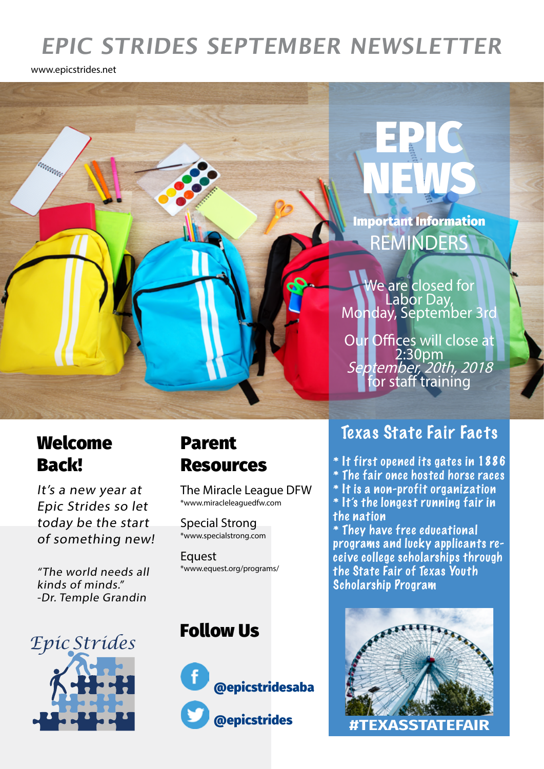# **EPIC STRIDES SEPTEMBER NEWSLETTER**

www.epicstrides.net



## Welcome Back!

It's a new year at Epic Strides so let today be the start of something new!

"The world needs all kinds of minds." -Dr. Temple Grandin

*Epic Strides*



The Miracle League DFW \*www.miracleleaguedfw.com

Special Strong \*www.specialstrong.com

**Equest** \*www.equest.org/programs/

### Follow Us



### Texas State Fair Facts

- \* It first opened its gates in 1886
- \* The fair once hosted horse races
- \* It is a non-profit organization
- \* It's the longest running fair in the nation

\* They have free educational programs and lucky applicants receive college scholarships through the State Fair of Texas Youth Scholarship Program